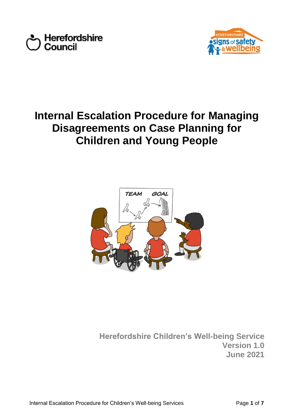



# **Internal Escalation Procedure for Managing Disagreements on Case Planning for Children and Young People**



**Herefordshire Children's Well-being Service Version 1.0 June 2021**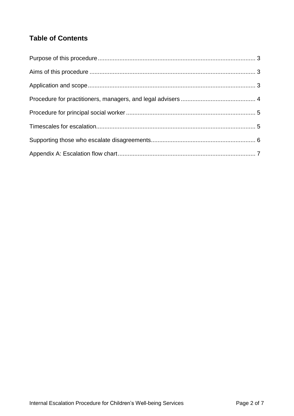# **Table of Contents**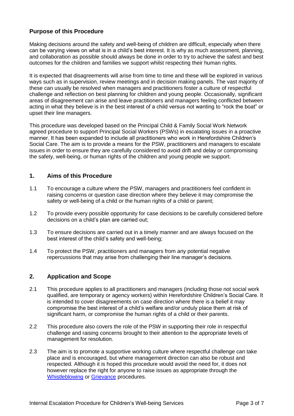## **Purpose of this Procedure**

Making decisions around the safety and well-being of children are difficult, especially when there can be varying views on what is in a child's best interest. It is why as much assessment, planning, and collaboration as possible should always be done in order to try to achieve the safest and best outcomes for the children and families we support whilst respecting their human rights.

It is expected that disagreements will arise from time to time and these will be explored in various ways such as in supervision, review meetings and in decision making panels. The vast majority of these can usually be resolved when managers and practitioners foster a culture of respectful challenge and reflection on best planning for children and young people. Occasionally, significant areas of disagreement can arise and leave practitioners and managers feeling conflicted between acting in what they believe is in the best interest of a child versus not wanting to "rock the boat" or upset their line managers.

This procedure was developed based on the Principal Child & Family Social Work Network agreed procedure to support Principal Social Workers (PSWs) in escalating issues in a proactive manner. It has been expanded to include all practitioners who work in Herefordshire Children's Social Care. The aim is to provide a means for the PSW, practitioners and managers to escalate issues in order to ensure they are carefully considered to avoid drift and delay or compromising the safety, well-being, or human rights of the children and young people we support.

#### **1. Aims of this Procedure**

- 1.1 To encourage a culture where the PSW, managers and practitioners feel confident in raising concerns or question case direction where they believe it may compromise the safety or well-being of a child or the human rights of a child or parent;
- 1.2 To provide every possible opportunity for case decisions to be carefully considered before decisions on a child's plan are carried out;
- 1.3 To ensure decisions are carried out in a timely manner and are always focused on the best interest of the child's safety and well-being;
- 1.4 To protect the PSW, practitioners and managers from any potential negative repercussions that may arise from challenging their line manager's decisions.

#### **2. Application and Scope**

- 2.1 This procedure applies to all practitioners and managers (including those not social work qualified, are temporary or agency workers) within Herefordshire Children's Social Care. It is intended to cover disagreements on case direction where there is a belief it may compromise the best interest of a child's welfare and/or unduly place them at risk of significant harm, or compromise the human rights of a child or their parents.
- 2.2 This procedure also covers the role of the PSW in supporting their role in respectful challenge and raising concerns brought to their attention to the appropriate levels of management for resolution.
- 2.3 The aim is to promote a supportive working culture where respectful challenge can take place and is encouraged, but where management direction can also be robust and respected. Although it is hoped this procedure would avoid the need for, it does not however replace the right for anyone to raise issues as appropriate through the [Whistleblowing](https://www.herefordshire.gov.uk/directory-record/5531/whistleblowing_policy) or [Grievance](http://hcintranet.herefordshire.gov.uk/HR/HR%20Document%20Store/Formal%20grievance%20procedure.pdf#search=grievance%20procedure) procedures.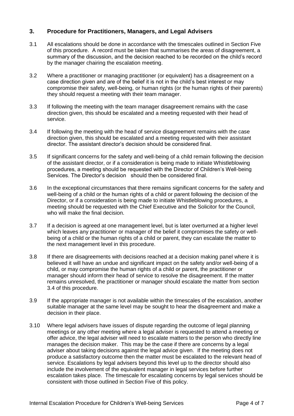#### **3. Procedure for Practitioners, Managers, and Legal Advisers**

- 3.1 All escalations should be done in accordance with the timescales outlined in Section Five of this procedure. A record must be taken that summarises the areas of disagreement, a summary of the discussion, and the decision reached to be recorded on the child's record by the manager chairing the escalation meeting.
- 3.2 Where a practitioner or managing practitioner (or equivalent) has a disagreement on a case direction given and are of the belief it is not in the child's best interest or may compromise their safety, well-being, or human rights (or the human rights of their parents) they should request a meeting with their team manager.
- 3.3 If following the meeting with the team manager disagreement remains with the case direction given, this should be escalated and a meeting requested with their head of service.
- 3.4 If following the meeting with the head of service disagreement remains with the case direction given, this should be escalated and a meeting requested with their assistant director. The assistant director's decision should be considered final.
- 3.5 If significant concerns for the safety and well-being of a child remain following the decision of the assistant director, or if a consideration is being made to initiate Whistleblowing procedures, a meeting should be requested with the Director of Children's Well-being Services. The Director's decision should then be considered final.
- 3.6 In the exceptional circumstances that there remains significant concerns for the safety and well-being of a child or the human rights of a child or parent following the decision of the Director, or if a consideration is being made to initiate Whistleblowing procedures, a meeting should be requested with the Chief Executive and the Solicitor for the Council, who will make the final decision.
- 3.7 If a decision is agreed at one management level, but is later overturned at a higher level which leaves any practitioner or manager of the belief it compromises the safety or wellbeing of a child or the human rights of a child or parent, they can escalate the matter to the next management level in this procedure.
- 3.8 If there are disagreements with decisions reached at a decision making panel where it is believed it will have an undue and significant impact on the safety and/or well-being of a child, or may compromise the human rights of a child or parent, the practitioner or manager should inform their head of service to resolve the disagreement. If the matter remains unresolved, the practitioner or manager should escalate the matter from section 3.4 of this procedure.
- 3.9 If the appropriate manager is not available within the timescales of the escalation, another suitable manager at the same level may be sought to hear the disagreement and make a decision in their place.
- 3.10 Where legal advisers have issues of dispute regarding the outcome of legal planning meetings or any other meeting where a legal adviser is requested to attend a meeting or offer advice, the legal adviser will need to escalate matters to the person who directly line manages the decision maker. This may be the case if there are concerns by a legal adviser about taking decisions against the legal advice given. If the meeting does not produce a satisfactory outcome then the matter must be escalated to the relevant head of service. Escalations by legal advisers beyond this level up to the director should also include the involvement of the equivalent manager in legal services before further escalation takes place. The timescale for escalating concerns by legal services should be consistent with those outlined in Section Five of this policy.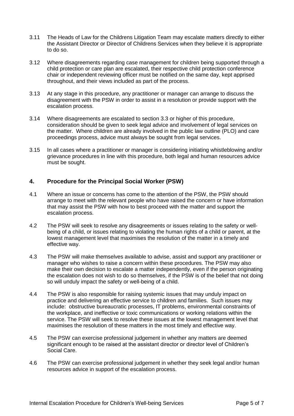- 3.11 The Heads of Law for the Childrens Litigation Team may escalate matters directly to either the Assistant Director or Director of Childrens Services when they believe it is appropriate to do so.
- 3.12 Where disagreements regarding case management for children being supported through a child protection or care plan are escalated, their respective child protection conference chair or independent reviewing officer must be notified on the same day, kept apprised throughout, and their views included as part of the process.
- 3.13 At any stage in this procedure, any practitioner or manager can arrange to discuss the disagreement with the PSW in order to assist in a resolution or provide support with the escalation process.
- 3.14 Where disagreements are escalated to section 3.3 or higher of this procedure, consideration should be given to seek legal advice and involvement of legal services on the matter. Where children are already involved in the public law outline (PLO) and care proceedings process, advice must always be sought from legal services.
- 3.15 In all cases where a practitioner or manager is considering initiating whistleblowing and/or grievance procedures in line with this procedure, both legal and human resources advice must be sought.

#### **4. Procedure for the Principal Social Worker (PSW)**

- 4.1 Where an issue or concerns has come to the attention of the PSW, the PSW should arrange to meet with the relevant people who have raised the concern or have information that may assist the PSW with how to best proceed with the matter and support the escalation process.
- 4.2 The PSW will seek to resolve any disagreements or issues relating to the safety or wellbeing of a child, or issues relating to violating the human rights of a child or parent, at the lowest management level that maximises the resolution of the matter in a timely and effective way.
- 4.3 The PSW will make themselves available to advise, assist and support any practitioner or manager who wishes to raise a concern within these procedures. The PSW may also make their own decision to escalate a matter independently, even if the person originating the escalation does not wish to do so themselves, if the PSW is of the belief that not doing so will unduly impact the safety or well-being of a child.
- 4.4 The PSW is also responsible for raising systemic issues that may unduly impact on practice and delivering an effective service to children and families. Such issues may include: obstructive bureaucratic processes, IT problems, environmental constraints of the workplace, and ineffective or toxic communications or working relations within the service. The PSW will seek to resolve these issues at the lowest management level that maximises the resolution of these matters in the most timely and effective way.
- 4.5 The PSW can exercise professional judgement in whether any matters are deemed significant enough to be raised at the assistant director or director level of Children's Social Care.
- 4.6 The PSW can exercise professional judgement in whether they seek legal and/or human resources advice in support of the escalation process.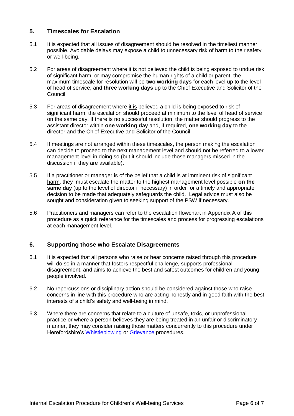#### **5. Timescales for Escalation**

- 5.1 It is expected that all issues of disagreement should be resolved in the timeliest manner possible. Avoidable delays may expose a child to unnecessary risk of harm to their safety or well-being.
- 5.2 For areas of disagreement where it is not believed the child is being exposed to undue risk of significant harm, or may compromise the human rights of a child or parent, the maximum timescale for resolution will be **two working days** for each level up to the level of head of service, and **three working days** up to the Chief Executive and Solicitor of the Council.
- 5.3 For areas of disagreement where it is believed a child is being exposed to risk of significant harm, the escalation should proceed at minimum to the level of head of service on the same day. If there is no successful resolution, the matter should progress to the assistant director within **one working day** and, if required, **one working day** to the director and the Chief Executive and Solicitor of the Council.
- 5.4 If meetings are not arranged within these timescales, the person making the escalation can decide to proceed to the next management level and should not be referred to a lower management level in doing so (but it should include those managers missed in the discussion if they are available).
- 5.5 If a practitioner or manager is of the belief that a child is at imminent risk of significant harm, they must escalate the matter to the highest management level possible **on the same day** (up to the level of director if necessary) in order for a timely and appropriate decision to be made that adequately safeguards the child. Legal advice must also be sought and consideration given to seeking support of the PSW if necessary.
- 5.6 Practitioners and managers can refer to the escalation flowchart in Appendix A of this procedure as a quick reference for the timescales and process for progressing escalations at each management level.

#### **6. Supporting those who Escalate Disagreements**

- 6.1 It is expected that all persons who raise or hear concerns raised through this procedure will do so in a manner that fosters respectful challenge, supports professional disagreement, and aims to achieve the best and safest outcomes for children and young people involved.
- 6.2 No repercussions or disciplinary action should be considered against those who raise concerns in line with this procedure who are acting honestly and in good faith with the best interests of a child's safety and well-being in mind.
- 6.3 Where there are concerns that relate to a culture of unsafe, toxic, or unprofessional practice or where a person believes they are being treated in an unfair or discriminatory manner, they may consider raising those matters concurrently to this procedure under Herefordshire's [Whistleblowing](https://www.herefordshire.gov.uk/directory-record/5531/whistleblowing_policy) or [Grievance](http://hcintranet.herefordshire.gov.uk/HR/HR%20Document%20Store/Formal%20grievance%20procedure.pdf#search=grievance%20procedure) procedures.